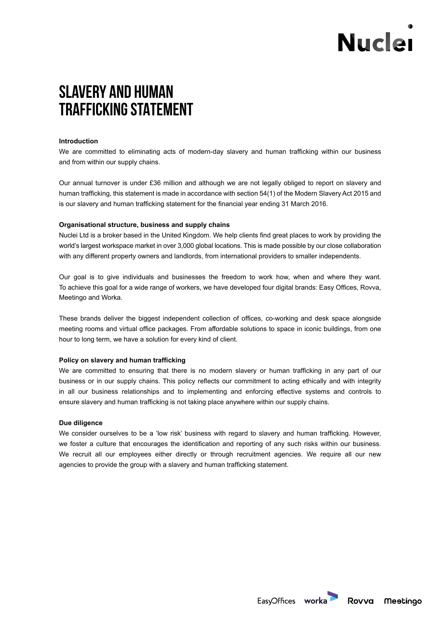# **Nuclei**

# **SLAVERY AND HUMAN TRAFFICKING STATEMENT**

### **Introduction**

We are committed to eliminating acts of modern-day slavery and human trafficking within our business and from within our supply chains.

Our annual turnover is under £36 million and although we are not legally obliged to report on slavery and human trafficking, this statement is made in accordance with section 54(1) of the Modern Slavery Act 2015 and is our slavery and human trafficking statement for the financial year ending 31 March 2016.

## **Organisational structure, business and supply chains**

Nuclei Ltd is a broker based in the United Kingdom. We help clients find great places to work by providing the world's largest workspace market in over 3,000 global locations. This is made possible by our close collaboration with any different property owners and landlords, from international providers to smaller independents.

Our goal is to give individuals and businesses the freedom to work how, when and where they want. To achieve this goal for a wide range of workers, we have developed four digital brands: Easy Offices, Rovva, Meetingo and Worka.

These brands deliver the biggest independent collection of offices, co-working and desk space alongside meeting rooms and virtual office packages. From affordable solutions to space in iconic buildings, from one hour to long term, we have a solution for every kind of client.

### **Policy on slavery and human trafficking**

We are committed to ensuring that there is no modern slavery or human trafficking in any part of our business or in our supply chains. This policy reflects our commitment to acting ethically and with integrity in all our business relationships and to implementing and enforcing effective systems and controls to ensure slavery and human trafficking is not taking place anywhere within our supply chains.

### **Due diligence**

We consider ourselves to be a 'low risk' business with regard to slavery and human trafficking. However, we foster a culture that encourages the identification and reporting of any such risks within our business. We recruit all our employees either directly or through recruitment agencies. We require all our new agencies to provide the group with a slavery and human trafficking statement.